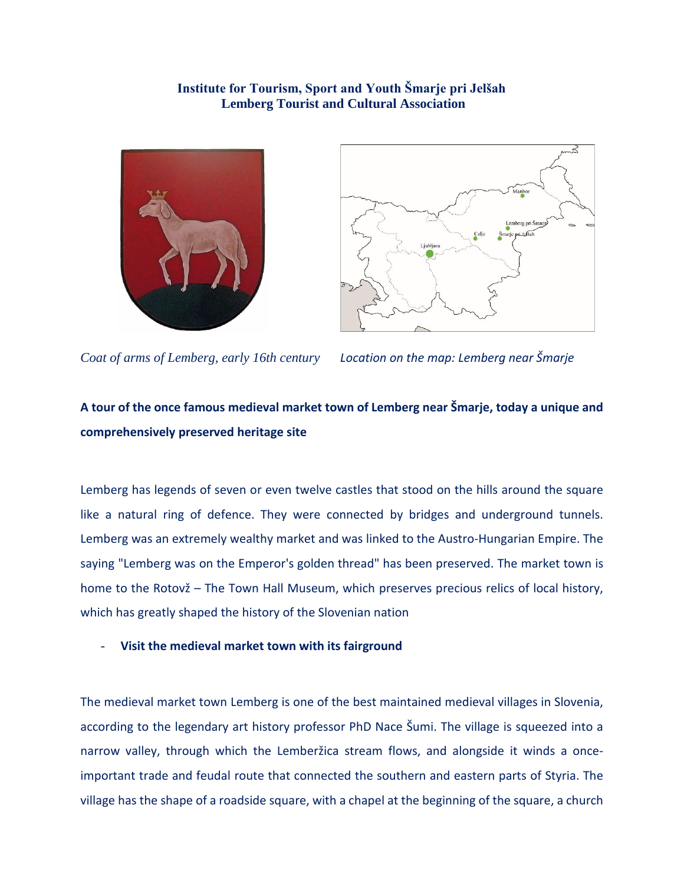## **Institute for Tourism, Sport and Youth Šmarje pri Jelšah Lemberg Tourist and Cultural Association**





*Coat of arms of Lemberg, early 16th century Location on the map: Lemberg near Šmarje*

# **A tour of the once famous medieval market town of Lemberg near Šmarje, today a unique and comprehensively preserved heritage site**

Lemberg has legends of seven or even twelve castles that stood on the hills around the square like a natural ring of defence. They were connected by bridges and underground tunnels. Lemberg was an extremely wealthy market and was linked to the Austro-Hungarian Empire. The saying "Lemberg was on the Emperor's golden thread" has been preserved. The market town is home to the Rotovž – The Town Hall Museum, which preserves precious relics of local history, which has greatly shaped the history of the Slovenian nation

- **Visit the medieval market town with its fairground**

The medieval market town Lemberg is one of the best maintained medieval villages in Slovenia, according to the legendary art history professor PhD Nace Šumi. The village is squeezed into a narrow valley, through which the Lemberžica stream flows, and alongside it winds a onceimportant trade and feudal route that connected the southern and eastern parts of Styria. The village has the shape of a roadside square, with a chapel at the beginning of the square, a church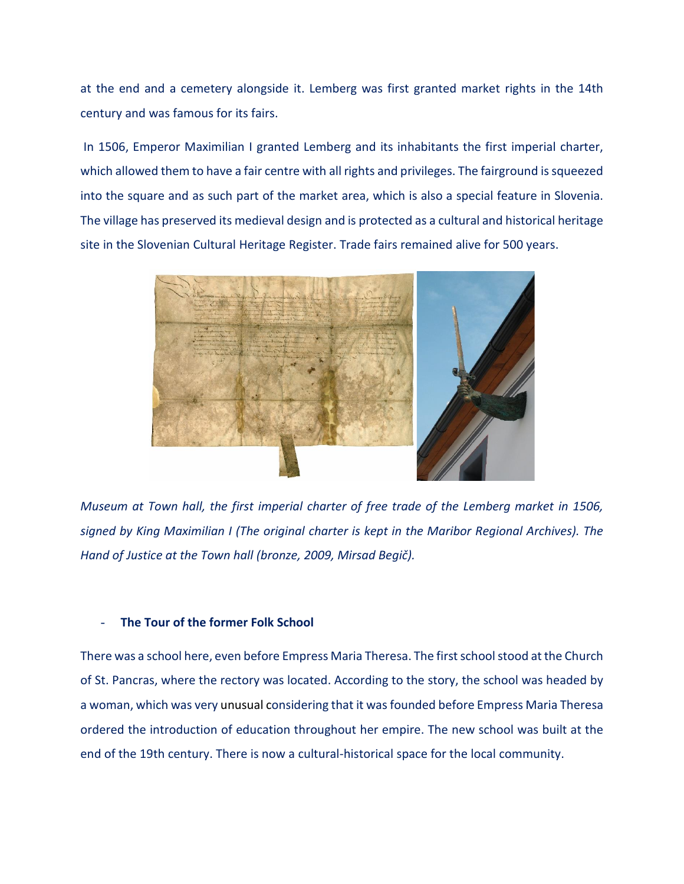at the end and a cemetery alongside it. Lemberg was first granted market rights in the 14th century and was famous for its fairs.

In 1506, Emperor Maximilian I granted Lemberg and its inhabitants the first imperial charter, which allowed them to have a fair centre with all rights and privileges. The fairground is squeezed into the square and as such part of the market area, which is also a special feature in Slovenia. The village has preserved its medieval design and is protected as a cultural and historical heritage site in the Slovenian Cultural Heritage Register. Trade fairs remained alive for 500 years.



*Museum at Town hall, the first imperial charter of free trade of the Lemberg market in 1506, signed by King Maximilian I (The original charter is kept in the Maribor Regional Archives). The Hand of Justice at the Town hall (bronze, 2009, Mirsad Begič).*

#### - **The Tour of the former Folk School**

There was a school here, even before Empress Maria Theresa. The first school stood at the Church of St. Pancras, where the rectory was located. According to the story, the school was headed by a woman, which was very unusual considering that it was founded before Empress Maria Theresa ordered the introduction of education throughout her empire. The new school was built at the end of the 19th century. There is now a cultural-historical space for the local community.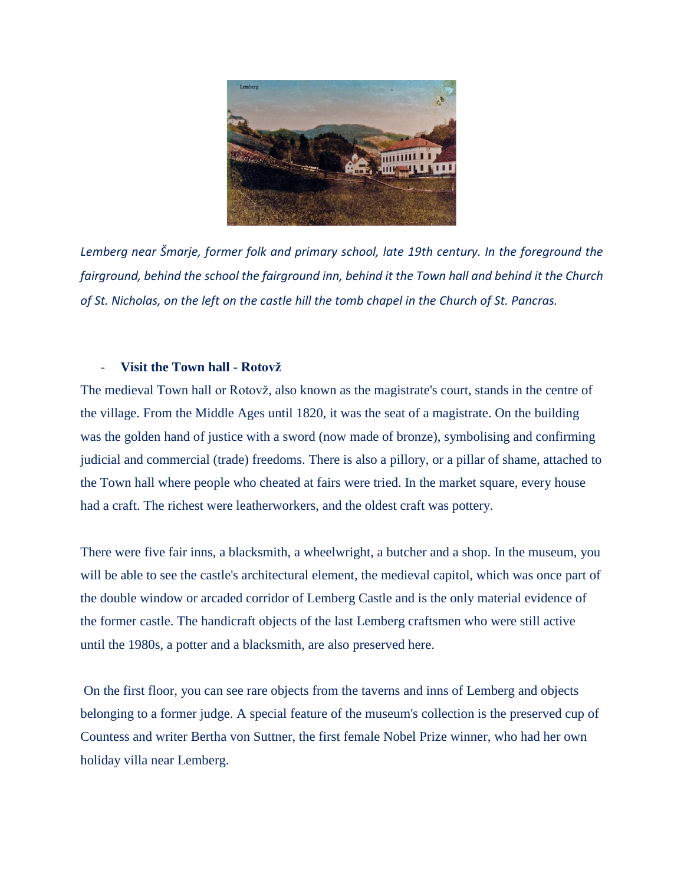

*Lemberg near Šmarje, former folk and primary school, late 19th century. In the foreground the fairground, behind the school the fairground inn, behind it the Town hall and behind it the Church of St. Nicholas, on the left on the castle hill the tomb chapel in the Church of St. Pancras.*

## - **Visit the Town hall - Rotovž**

The medieval Town hall or Rotovž, also known as the magistrate's court, stands in the centre of the village. From the Middle Ages until 1820, it was the seat of a magistrate. On the building was the golden hand of justice with a sword (now made of bronze), symbolising and confirming judicial and commercial (trade) freedoms. There is also a pillory, or a pillar of shame, attached to the Town hall where people who cheated at fairs were tried. In the market square, every house had a craft. The richest were leatherworkers, and the oldest craft was pottery.

There were five fair inns, a blacksmith, a wheelwright, a butcher and a shop. In the museum, you will be able to see the castle's architectural element, the medieval capitol, which was once part of the double window or arcaded corridor of Lemberg Castle and is the only material evidence of the former castle. The handicraft objects of the last Lemberg craftsmen who were still active until the 1980s, a potter and a blacksmith, are also preserved here.

On the first floor, you can see rare objects from the taverns and inns of Lemberg and objects belonging to a former judge. A special feature of the museum's collection is the preserved cup of Countess and writer Bertha von Suttner, the first female Nobel Prize winner, who had her own holiday villa near Lemberg.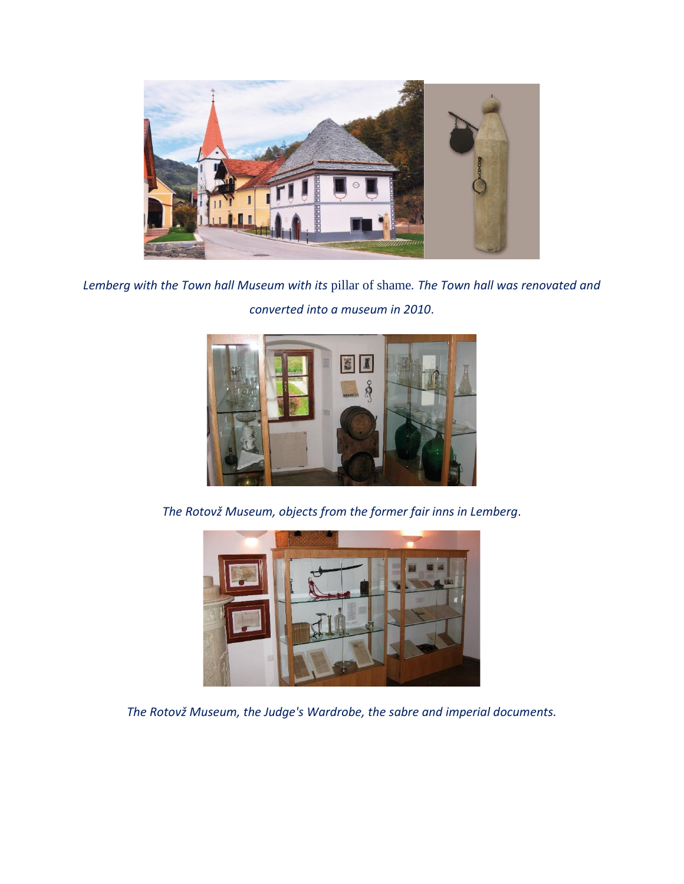

*Lemberg with the Town hall Museum with its* pillar of shame*. The Town hall was renovated and converted into a museum in 2010*.



*The Rotovž Museum, objects from the former fair inns in Lemberg*.



*The Rotovž Museum, the Judge's Wardrobe, the sabre and imperial documents.*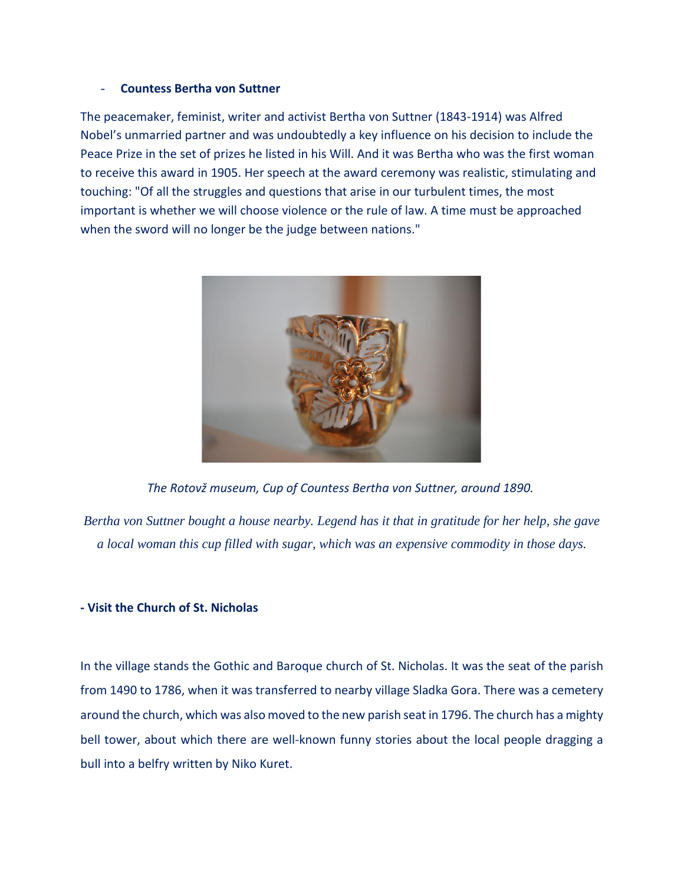#### - **Countess Bertha von Suttner**

The peacemaker, feminist, writer and activist Bertha von Suttner (1843-1914) was Alfred Nobel's unmarried partner and was undoubtedly a key influence on his decision to include the Peace Prize in the set of prizes he listed in his Will. And it was Bertha who was the first woman to receive this award in 1905. Her speech at the award ceremony was realistic, stimulating and touching: "Of all the struggles and questions that arise in our turbulent times, the most important is whether we will choose violence or the rule of law. A time must be approached when the sword will no longer be the judge between nations."



*The Rotovž museum, Cup of Countess Bertha von Suttner, around 1890.*

*Bertha von Suttner bought a house nearby. Legend has it that in gratitude for her help, she gave a local woman this cup filled with sugar, which was an expensive commodity in those days.*

### **- Visit the Church of St. Nicholas**

In the village stands the Gothic and Baroque church of St. Nicholas. It was the seat of the parish from 1490 to 1786, when it was transferred to nearby village Sladka Gora. There was a cemetery around the church, which was also moved to the new parish seat in 1796. The church has a mighty bell tower, about which there are well-known funny stories about the local people dragging a bull into a belfry written by Niko Kuret.